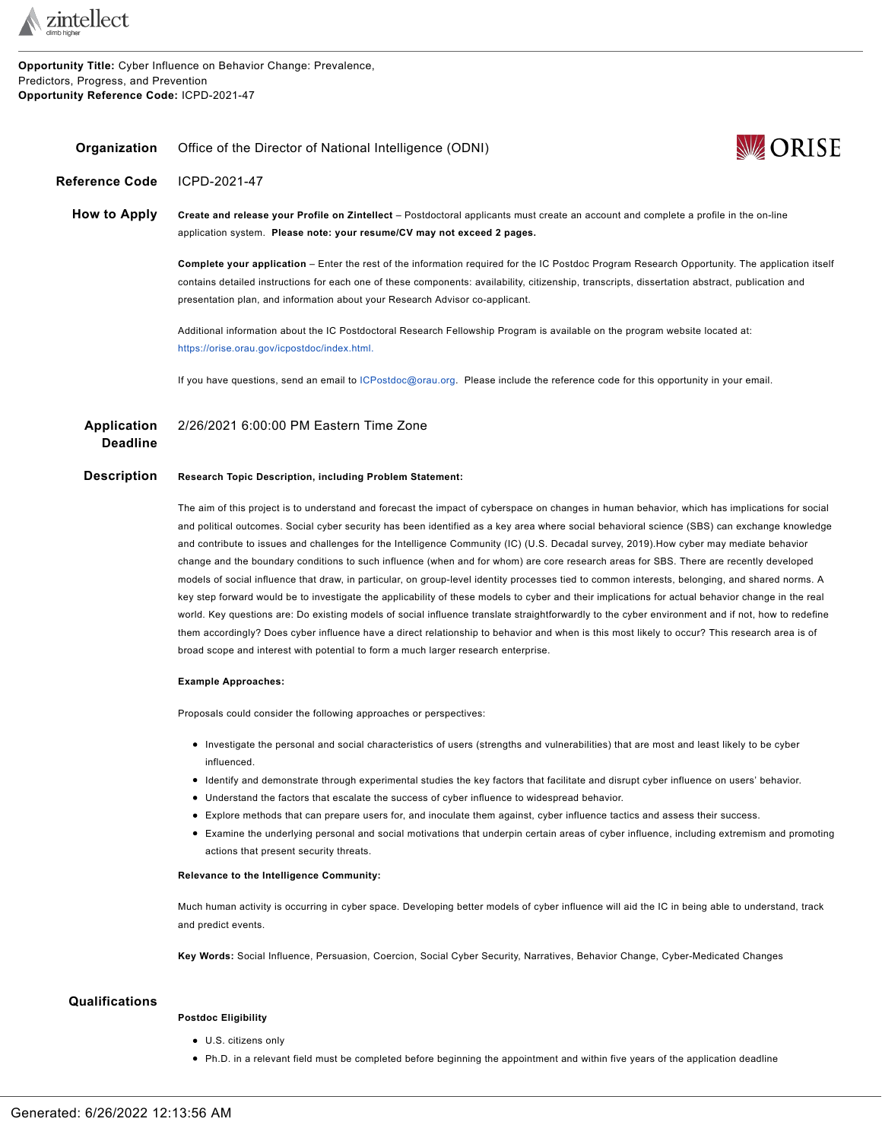

**Opportunity Title:** Cyber Influence on Behavior Change: Prevalence, Predictors, Progress, and Prevention **Opportunity Reference Code:** ICPD-2021-47



<span id="page-0-0"></span>**Reference Code** ICPD-2021-47

**How to Apply Create and release your Profile on Zintellect** – Postdoctoral applicants must create an account and complete a profile in the on-line application system. **Please note: your resume/CV may not exceed 2 pages.**

> **Complete your application** – Enter the rest of the information required for the IC Postdoc Program Research Opportunity. The application itself contains detailed instructions for each one of these components: availability, citizenship, transcripts, dissertation abstract, publication and presentation plan, and information about your Research Advisor co-applicant.

Additional information about the IC Postdoctoral Research Fellowship Program is available on the program website located at: [https://orise.orau.gov/icpostdoc/index.html.](https://orise.orau.gov/icpostdoc/index.html)

If you have questions, send an email to [ICPostdoc@orau.org](mailto:ICPostdoc@orau.org). Please include the reference code for this opportunity in your email.

**Application Deadline** 2/26/2021 6:00:00 PM Eastern Time Zone

# **Description Research Topic Description, including Problem Statement:**

**Organization** Office of the Director of National Intelligence (ODNI)

The aim of this project is to understand and forecast the impact of cyberspace on changes in human behavior, which has implications for social and political outcomes. Social cyber security has been identified as a key area where social behavioral science (SBS) can exchange knowledge and contribute to issues and challenges for the Intelligence Community (IC) (U.S. Decadal survey, 2019).How cyber may mediate behavior change and the boundary conditions to such influence (when and for whom) are core research areas for SBS. There are recently developed models of social influence that draw, in particular, on group-level identity processes tied to common interests, belonging, and shared norms. A key step forward would be to investigate the applicability of these models to cyber and their implications for actual behavior change in the real world. Key questions are: Do existing models of social influence translate straightforwardly to the cyber environment and if not, how to redefine them accordingly? Does cyber influence have a direct relationship to behavior and when is this most likely to occur? This research area is of broad scope and interest with potential to form a much larger research enterprise.

#### **Example Approaches:**

Proposals could consider the following approaches or perspectives:

- Investigate the personal and social characteristics of users (strengths and vulnerabilities) that are most and least likely to be cyber influenced.
- Identify and demonstrate through experimental studies the key factors that facilitate and disrupt cyber influence on users' behavior.
- Understand the factors that escalate the success of cyber influence to widespread behavior.
- Explore methods that can prepare users for, and inoculate them against, cyber influence tactics and assess their success.
- Examine the underlying personal and social motivations that underpin certain areas of cyber influence, including extremism and promoting actions that present security threats.

#### **Relevance to the Intelligence Community:**

Much human activity is occurring in cyber space. Developing better models of cyber influence will aid the IC in being able to understand, track and predict events.

**Key Words:** Social Influence, Persuasion, Coercion, Social Cyber Security, Narratives, Behavior Change, Cyber-Medicated Changes

## **Qualifications**

### **Postdoc Eligibility**

- U.S. citizens only
- Ph.D. in a relevant field must be completed before beginning the appointment and within five years of the application deadline